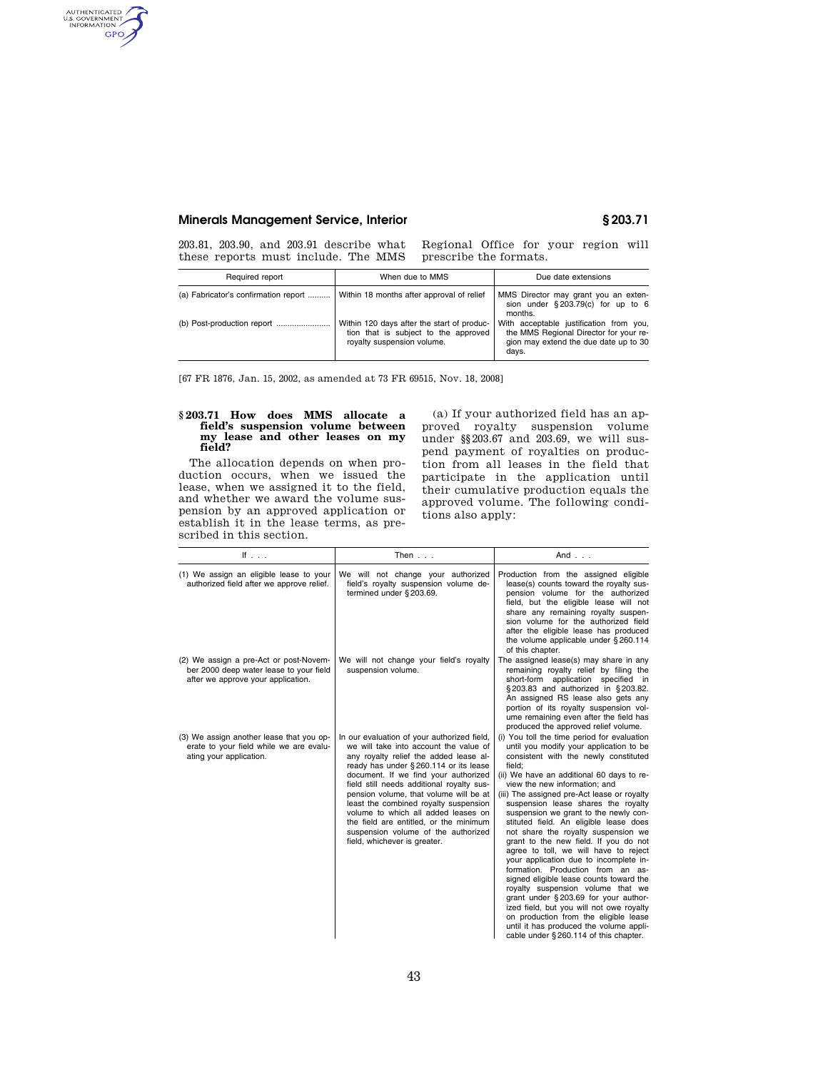# **Minerals Management Service, Interior § 203.71**

AUTHENTICATED<br>U.S. GOVERNMENT<br>INFORMATION **GPO** 

203.81, 203.90, and 203.91 describe what these reports must include. The MMS

Regional Office for your region will prescribe the formats.

| Required report                      | When due to MMS                                                                                                  | Due date extensions                                                                                                                 |
|--------------------------------------|------------------------------------------------------------------------------------------------------------------|-------------------------------------------------------------------------------------------------------------------------------------|
| (a) Fabricator's confirmation report | Within 18 months after approval of relief                                                                        | MMS Director may grant you an exten-<br>sion under $\S 203.79(c)$ for up to 6<br>months.                                            |
|                                      | Within 120 days after the start of produc-<br>tion that is subject to the approved<br>royalty suspension volume. | With acceptable justification from you,<br>the MMS Regional Director for your re-<br>gion may extend the due date up to 30<br>days. |

[67 FR 1876, Jan. 15, 2002, as amended at 73 FR 69515, Nov. 18, 2008]

# **§ 203.71 How does MMS allocate a field's suspension volume between my lease and other leases on my field?**

The allocation depends on when production occurs, when we issued the lease, when we assigned it to the field, and whether we award the volume suspension by an approved application or establish it in the lease terms, as prescribed in this section.

(a) If your authorized field has an approved royalty suspension volume under §§203.67 and 203.69, we will suspend payment of royalties on production from all leases in the field that participate in the application until their cumulative production equals the approved volume. The following conditions also apply:

| If $\ldots$                                                                                                             | Then $\ldots$                                                                                                                                                                                                                                                                                                                                                                                                                                                                                             | And $\ldots$                                                                                                                                                                                                                                                                                                                                                                                                                                                                                                                                                                                                                                                                                                                                                                                                                                                                                              |
|-------------------------------------------------------------------------------------------------------------------------|-----------------------------------------------------------------------------------------------------------------------------------------------------------------------------------------------------------------------------------------------------------------------------------------------------------------------------------------------------------------------------------------------------------------------------------------------------------------------------------------------------------|-----------------------------------------------------------------------------------------------------------------------------------------------------------------------------------------------------------------------------------------------------------------------------------------------------------------------------------------------------------------------------------------------------------------------------------------------------------------------------------------------------------------------------------------------------------------------------------------------------------------------------------------------------------------------------------------------------------------------------------------------------------------------------------------------------------------------------------------------------------------------------------------------------------|
| (1) We assign an eligible lease to your<br>authorized field after we approve relief.                                    | We will not change your authorized<br>field's royalty suspension volume de-<br>termined under §203.69.                                                                                                                                                                                                                                                                                                                                                                                                    | Production from the assigned eligible<br>lease(s) counts toward the royalty sus-<br>pension volume for the authorized<br>field, but the eligible lease will not<br>share any remaining royalty suspen-<br>sion volume for the authorized field<br>after the eligible lease has produced<br>the volume applicable under §260.114<br>of this chapter.                                                                                                                                                                                                                                                                                                                                                                                                                                                                                                                                                       |
| (2) We assign a pre-Act or post-Novem-<br>ber 2000 deep water lease to your field<br>after we approve your application. | We will not change your field's royalty<br>suspension volume.                                                                                                                                                                                                                                                                                                                                                                                                                                             | The assigned lease(s) may share in any<br>remaining royalty relief by filing the<br>short-form application specified in<br>§203.83 and authorized in §203.82.<br>An assigned RS lease also gets any<br>portion of its royalty suspension vol-<br>ume remaining even after the field has<br>produced the approved relief volume.                                                                                                                                                                                                                                                                                                                                                                                                                                                                                                                                                                           |
| (3) We assign another lease that you op-<br>erate to your field while we are evalu-<br>ating your application.          | In our evaluation of your authorized field,<br>we will take into account the value of<br>any royalty relief the added lease al-<br>ready has under § 260.114 or its lease<br>document. If we find your authorized<br>field still needs additional royalty sus-<br>pension volume, that volume will be at<br>least the combined royalty suspension<br>volume to which all added leases on<br>the field are entitled, or the minimum<br>suspension volume of the authorized<br>field, whichever is greater. | (i) You toll the time period for evaluation<br>until you modify your application to be<br>consistent with the newly constituted<br>field:<br>(ii) We have an additional 60 days to re-<br>view the new information: and<br>(iii) The assigned pre-Act lease or royalty<br>suspension lease shares the royalty<br>suspension we grant to the newly con-<br>stituted field. An eligible lease does<br>not share the royalty suspension we<br>grant to the new field. If you do not<br>agree to toll, we will have to reject<br>your application due to incomplete in-<br>formation. Production from an as-<br>signed eligible lease counts toward the<br>royalty suspension volume that we<br>grant under §203.69 for your author-<br>ized field, but you will not owe royalty<br>on production from the eligible lease<br>until it has produced the volume appli-<br>cable under §260.114 of this chapter. |